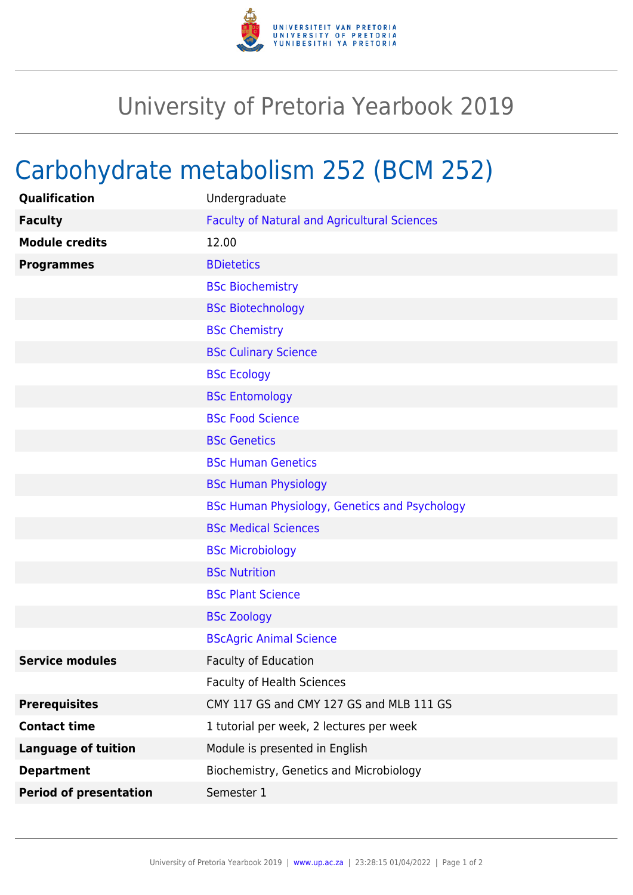

## University of Pretoria Yearbook 2019

## Carbohydrate metabolism 252 (BCM 252)

| Qualification                 | Undergraduate                                        |
|-------------------------------|------------------------------------------------------|
| <b>Faculty</b>                | <b>Faculty of Natural and Agricultural Sciences</b>  |
| <b>Module credits</b>         | 12.00                                                |
| <b>Programmes</b>             | <b>BDietetics</b>                                    |
|                               | <b>BSc Biochemistry</b>                              |
|                               | <b>BSc Biotechnology</b>                             |
|                               | <b>BSc Chemistry</b>                                 |
|                               | <b>BSc Culinary Science</b>                          |
|                               | <b>BSc Ecology</b>                                   |
|                               | <b>BSc Entomology</b>                                |
|                               | <b>BSc Food Science</b>                              |
|                               | <b>BSc Genetics</b>                                  |
|                               | <b>BSc Human Genetics</b>                            |
|                               | <b>BSc Human Physiology</b>                          |
|                               | <b>BSc Human Physiology, Genetics and Psychology</b> |
|                               | <b>BSc Medical Sciences</b>                          |
|                               | <b>BSc Microbiology</b>                              |
|                               | <b>BSc Nutrition</b>                                 |
|                               | <b>BSc Plant Science</b>                             |
|                               | <b>BSc Zoology</b>                                   |
|                               | <b>BScAgric Animal Science</b>                       |
| <b>Service modules</b>        | <b>Faculty of Education</b>                          |
|                               | <b>Faculty of Health Sciences</b>                    |
| <b>Prerequisites</b>          | CMY 117 GS and CMY 127 GS and MLB 111 GS             |
| <b>Contact time</b>           | 1 tutorial per week, 2 lectures per week             |
| <b>Language of tuition</b>    | Module is presented in English                       |
| <b>Department</b>             | Biochemistry, Genetics and Microbiology              |
| <b>Period of presentation</b> | Semester 1                                           |